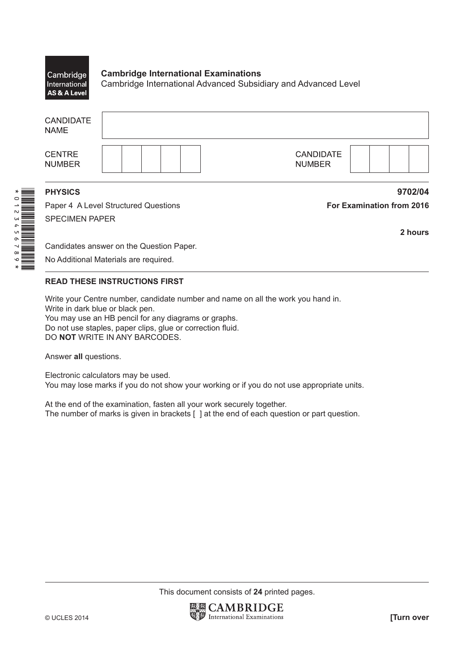## **Cambridge International Examinations** Cambridge International Cambridge International Advanced Subsidiary and Advanced Level AS & A Level

| <b>CANDIDATE</b><br><b>NAME</b> |                                      |                                   |
|---------------------------------|--------------------------------------|-----------------------------------|
| <b>CENTRE</b><br><b>NUMBER</b>  |                                      | <b>CANDIDATE</b><br><b>NUMBER</b> |
| <b>PHYSICS</b>                  |                                      | 9702/04                           |
|                                 | Paper 4 A Level Structured Questions | <b>For Examination from 2016</b>  |

SPECIMEN PAPER

\*0123456789\*

**2 hours**

Candidates answer on the Question Paper.

No Additional Materials are required.

## **READ THESE INSTRUCTIONS FIRST**

Write your Centre number, candidate number and name on all the work you hand in. Write in dark blue or black pen. You may use an HB pencil for any diagrams or graphs. Do not use staples, paper clips, glue or correction fluid. DO **NOT** WRITE IN ANY BARCODES.

Answer **all** questions.

Electronic calculators may be used. You may lose marks if you do not show your working or if you do not use appropriate units.

At the end of the examination, fasten all your work securely together. The number of marks is given in brackets [ ] at the end of each question or part question.

This document consists of **24** printed pages.

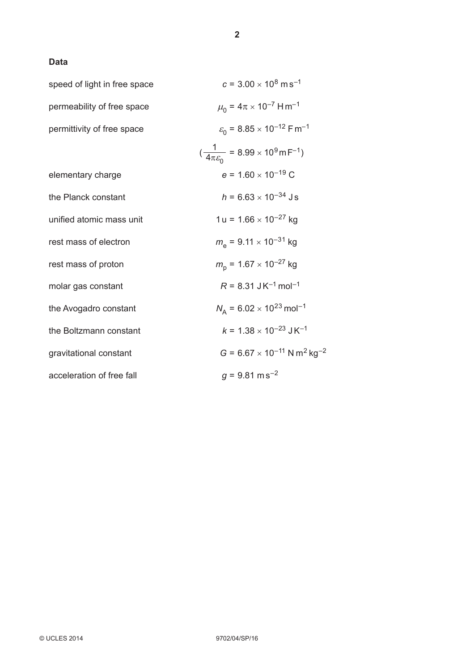## **Data**

| speed of light in free space | $c = 3.00 \times 10^8 \text{ m s}^{-1}$                                      |
|------------------------------|------------------------------------------------------------------------------|
| permeability of free space   | $\mu_0 = 4\pi \times 10^{-7}$ H m <sup>-1</sup>                              |
| permittivity of free space   | $\varepsilon_0$ = 8.85 × 10 <sup>-12</sup> F m <sup>-1</sup>                 |
|                              | $(\frac{1}{4\pi \varepsilon_0}$ = 8.99 × 10 <sup>9</sup> m F <sup>-1</sup> ) |
| elementary charge            | $e = 1.60 \times 10^{-19}$ C                                                 |
| the Planck constant          | $h = 6.63 \times 10^{-34}$ Js                                                |
| unified atomic mass unit     | $1 u = 1.66 \times 10^{-27}$ kg                                              |
| rest mass of electron        | $m_e$ = 9.11 $\times$ 10 <sup>-31</sup> kg                                   |
| rest mass of proton          | $m_{\rm p}$ = 1.67 $\times$ 10 <sup>-27</sup> kg                             |
| molar gas constant           | $R = 8.31$ JK <sup>-1</sup> mol <sup>-1</sup>                                |
| the Avogadro constant        | $N_A = 6.02 \times 10^{23}$ mol <sup>-1</sup>                                |
| the Boltzmann constant       | $k = 1.38 \times 10^{-23}$ J K <sup>-1</sup>                                 |
| gravitational constant       | $G = 6.67 \times 10^{-11}$ N m <sup>2</sup> kg <sup>-2</sup>                 |
| acceleration of free fall    | $q = 9.81$ m s <sup>-2</sup>                                                 |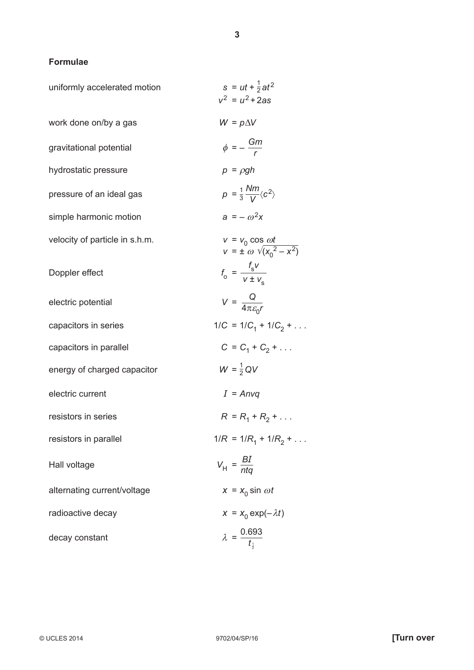## **Formulae**

| uniformly accelerated motion   | $s = ut + \frac{1}{2}at^2$<br>$v^2 = u^2 + 2as$                  |
|--------------------------------|------------------------------------------------------------------|
| work done on/by a gas          | $W = p\Delta V$                                                  |
| gravitational potential        | $\phi = -\frac{Gm}{r}$                                           |
| hydrostatic pressure           | $p = \rho gh$                                                    |
| pressure of an ideal gas       | $p = \frac{1}{3} \frac{Nm}{V} \langle c^2 \rangle$               |
| simple harmonic motion         | $a = -\omega^2 x$                                                |
| velocity of particle in s.h.m. | $v = v_0 \cos \omega t$<br>$v = \pm \omega \sqrt{(x_0^2 - x^2)}$ |
| Doppler effect                 | $f_{\rm o} = \frac{f_{\rm s}v}{v \pm v}$                         |
| electric potential             | $V = \frac{Q}{4\pi \varepsilon_0 r}$                             |
| capacitors in series           | $1/C = 1/C_1 + 1/C_2 + \dots$                                    |
| capacitors in parallel         | $C = C_1 + C_2 + $                                               |
| energy of charged capacitor    | $W = \frac{1}{2}QV$                                              |
| electric current               | $I = Anvq$                                                       |
| resistors in series            | $R = R_1 + R_2 + $                                               |
| resistors in parallel          | $1/R = 1/R_1 + 1/R_2 + $                                         |
| Hall voltage                   | $V_{\text{H}} = \frac{BI}{nta}$                                  |
| alternating current/voltage    | $x = x_0 \sin \omega t$                                          |
| radioactive decay              | $x = x_0 \exp(-\lambda t)$                                       |
| decay constant                 | $\lambda = \frac{0.693}{t_{\frac{1}{2}}}$                        |

**3**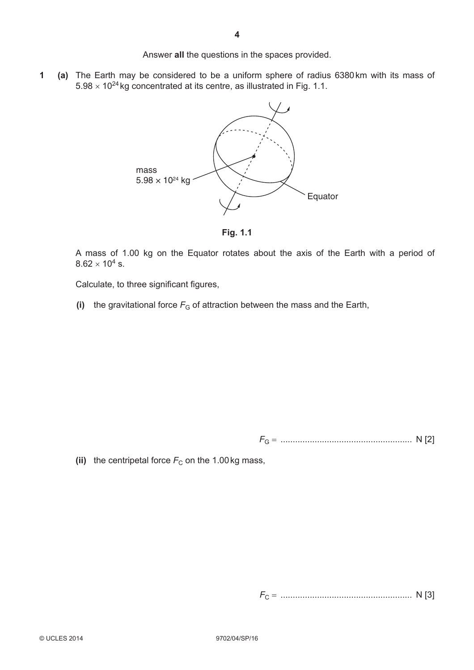Answer **all** the questions in the spaces provided.

**1 (a)** The Earth may be considered to be a uniform sphere of radius 6380 km with its mass of  $5.98 \times 10^{24}$  kg concentrated at its centre, as illustrated in Fig. 1.1.



**Fig. 1.1**

A mass of 1.00 kg on the Equator rotates about the axis of the Earth with a period of  $8.62 \times 10^4$  s.

Calculate, to three significant figures,

**(i)** the gravitational force  $F_G$  of attraction between the mass and the Earth,

*F*<sup>G</sup> = ...................................................... N [2]

(ii) the centripetal force  $F<sub>C</sub>$  on the 1.00 kg mass,

*F*<sup>C</sup> = ...................................................... N [3]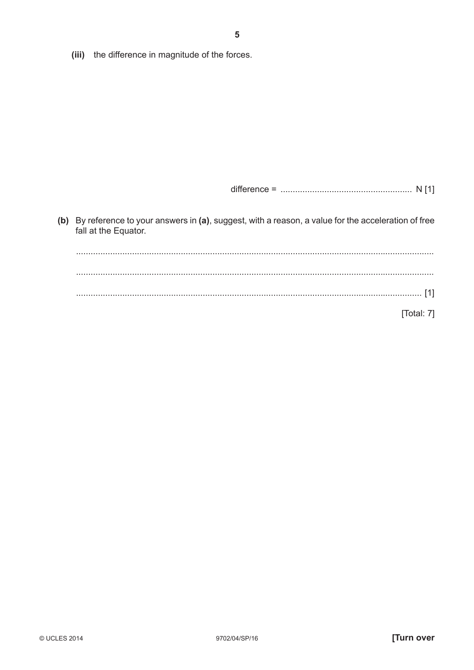(iii) the difference in magnitude of the forces.

(b) By reference to your answers in (a), suggest, with a reason, a value for the acceleration of free fall at the Equator.

[Total: 7]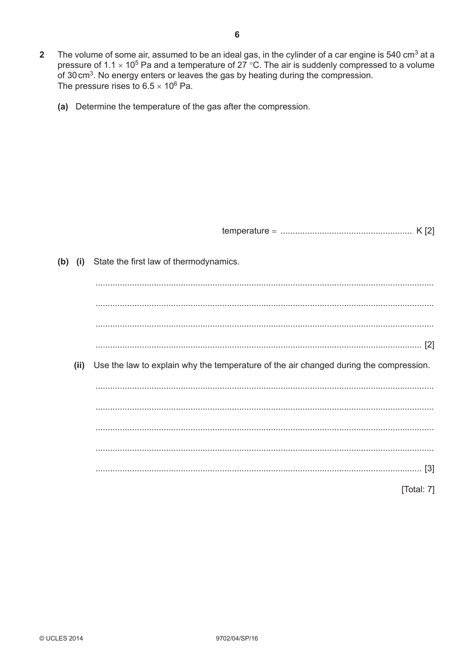- The volume of some air, assumed to be an ideal gas, in the cylinder of a car engine is 540 cm<sup>3</sup> at a  $\overline{2}$ pressure of 1.1  $\times$  10<sup>5</sup> Pa and a temperature of 27 °C. The air is suddenly compressed to a volume of 30 cm<sup>3</sup>. No energy enters or leaves the gas by heating during the compression. The pressure rises to  $6.5 \times 10^6$  Pa.
	- (a) Determine the temperature of the gas after the compression.

| temperature |  |  |
|-------------|--|--|
|             |  |  |

(b) (i) State the first law of thermodynamics. (ii) Use the law to explain why the temperature of the air changed during the compression. [Total: 7]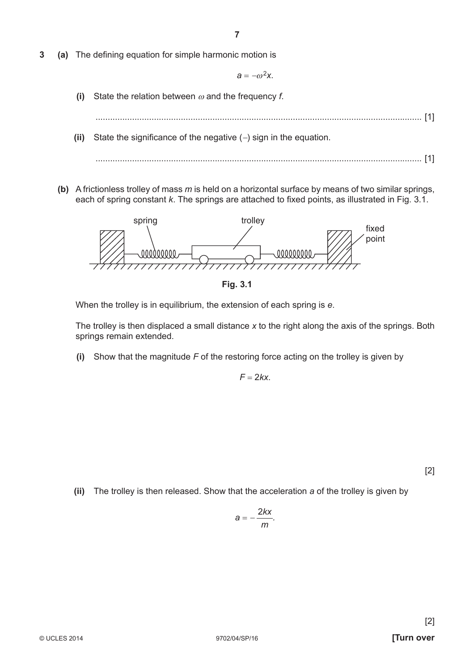**3** (a) The defining equation for simple harmonic motion is

 $a = -\omega^2 x$ .

- **(i)** State the relation between ω and the frequency *f*.
	- ...................................................................................................................................... [1]
- **(ii)** State the significance of the negative  $(-)$  sign in the equation.
	- ...................................................................................................................................... [1]
- **(b)** A frictionless trolley of mass *m* is held on a horizontal surface by means of two similar springs, each of spring constant *k*. The springs are attached to fixed points, as illustrated in Fig. 3.1.



**Fig. 3.1**

When the trolley is in equilibrium, the extension of each spring is *e*.

The trolley is then displaced a small distance *x* to the right along the axis of the springs. Both springs remain extended.

 **(i)** Show that the magnitude *F* of the restoring force acting on the trolley is given by

 $F = 2kx$ .

[2]

 **(ii)** The trolley is then released. Show that the acceleration *a* of the trolley is given by

$$
a=-\frac{2kx}{m}.
$$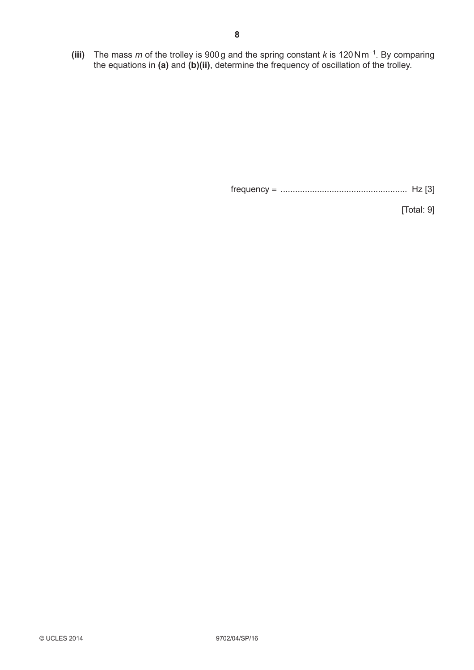**(iii)** The mass *m* of the trolley is 900 g and the spring constant *k* is 120 N m<sup>−</sup>1. By comparing the equations in **(a)** and **(b)(ii)**, determine the frequency of oscillation of the trolley.

frequency = .................................................... Hz [3]

[Total: 9]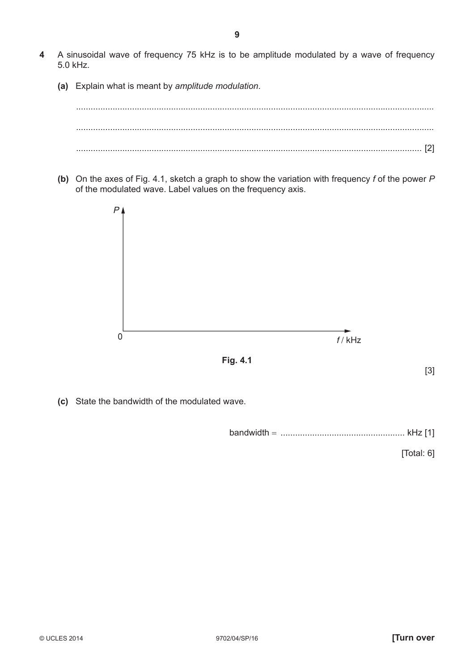- **4** A sinusoidal wave of frequency 75 kHz is to be amplitude modulated by a wave of frequency 5.0 kHz.
	- **(a)** Explain what is meant by *amplitude modulation*.



 **(b)** On the axes of Fig. 4.1, sketch a graph to show the variation with frequency *f* of the power *P* of the modulated wave. Label values on the frequency axis.





 **(c)** State the bandwidth of the modulated wave.

bandwidth = ................................................... kHz [1]

[Total: 6]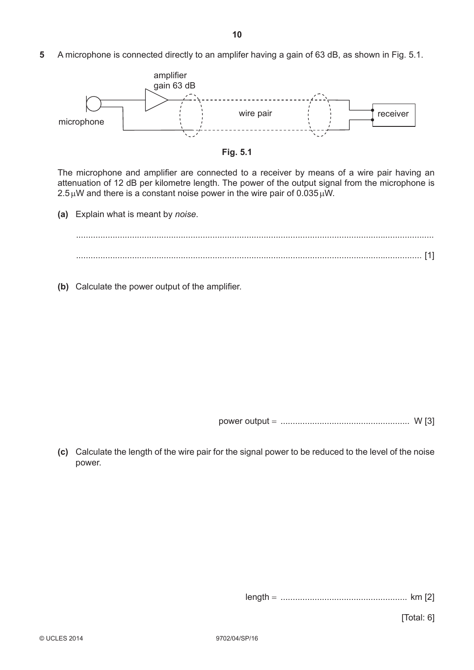**5** A microphone is connected directly to an amplifer having a gain of 63 dB, as shown in Fig. 5.1.





The microphone and amplifier are connected to a receiver by means of a wire pair having an attenuation of 12 dB per kilometre length. The power of the output signal from the microphone is  $2.5 \mu W$  and there is a constant noise power in the wire pair of 0.035  $\mu W$ .

 **(a)** Explain what is meant by *noise*.

 ................................................................................................................................................... .............................................................................................................................................. [1]

**(b)** Calculate the power output of the amplifier.

power output = ..................................................... W [3]

 **(c)** Calculate the length of the wire pair for the signal power to be reduced to the level of the noise power.

length = .................................................... km [2]

[Total: 6]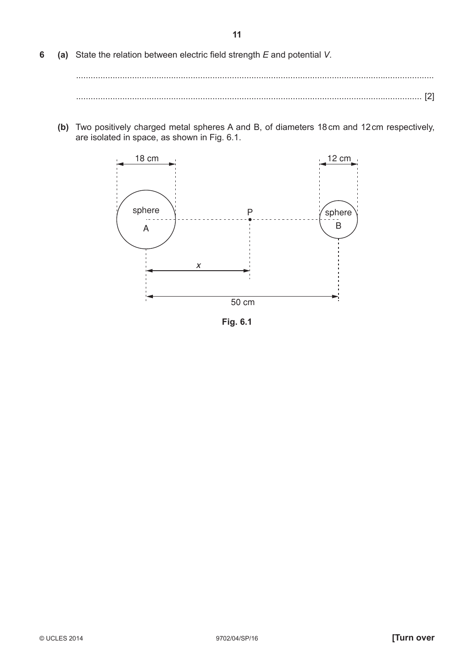**6** (a) State the relation between electric field strength *E* and potential *V*.

 ................................................................................................................................................... .............................................................................................................................................. [2]

 **(b)** Two positively charged metal spheres A and B, of diameters 18 cm and 12 cm respectively, are isolated in space, as shown in Fig. 6.1.



**Fig. 6.1**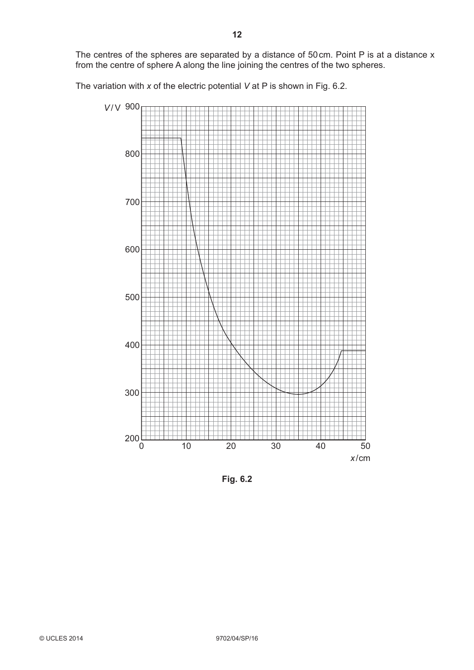The centres of the spheres are separated by a distance of 50 cm. Point P is at a distance x from the centre of sphere A along the line joining the centres of the two spheres.

The variation with *x* of the electric potential *V* at P is shown in Fig. 6.2.



**Fig. 6.2**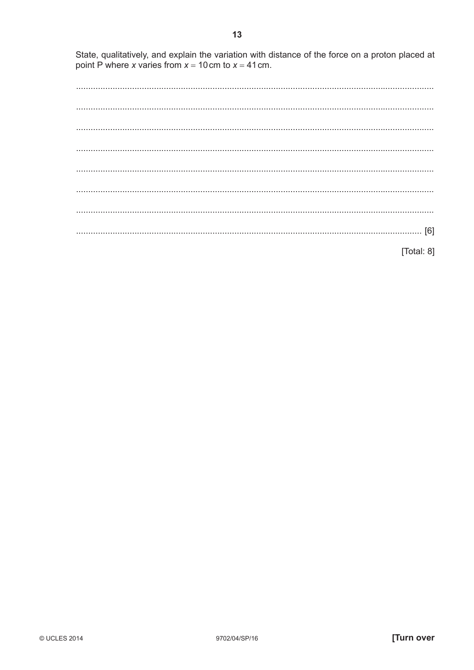State, qualitatively, and explain the variation with distance of the force on a proton placed at point P where x varies from  $x = 10$  cm to  $x = 41$  cm.

[Total:  $8$ ]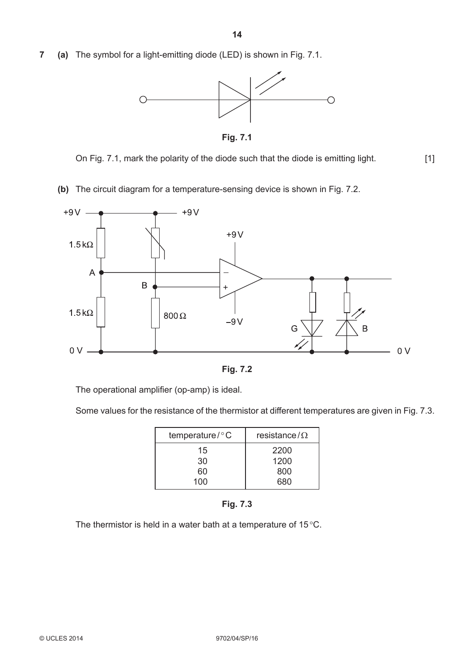**7 (a)** The symbol for a light-emitting diode (LED) is shown in Fig. 7.1.



**Fig. 7.1**

On Fig. 7.1, mark the polarity of the diode such that the diode is emitting light. [1]

 **(b)** The circuit diagram for a temperature-sensing device is shown in Fig. 7.2.





The operational amplifier (op-amp) is ideal.

Some values for the resistance of the thermistor at different temperatures are given in Fig. 7.3.

| temperature/°C | resistance/ $\Omega$ |
|----------------|----------------------|
| 15             | 2200                 |
| 30             | 1200                 |
| 60             | 800                  |
| 100            | 680                  |



The thermistor is held in a water bath at a temperature of 15 °C.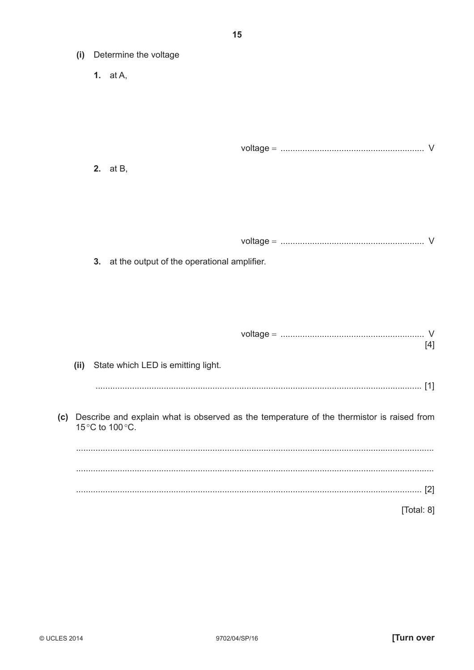- (i) Determine the voltage
	- 1.  $at A$ .

| voľ |  |  |
|-----|--|--|
|     |  |  |

**2.** at B,

| voltac |  |  |
|--------|--|--|
|--------|--|--|

3. at the output of the operational amplifier.

(ii) State which LED is emitting light.

 $[4]$ 

(c) Describe and explain what is observed as the temperature of the thermistor is raised from 15°C to 100°C.

[Total: 8]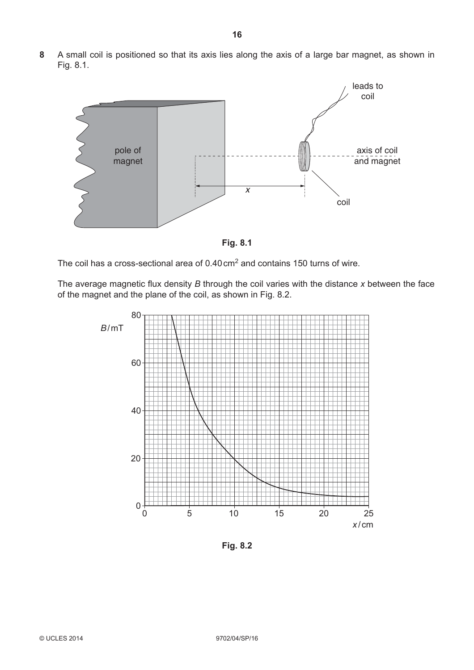**8** A small coil is positioned so that its axis lies along the axis of a large bar magnet, as shown in Fig. 8.1.



**Fig. 8.1**

The coil has a cross-sectional area of 0.40 cm<sup>2</sup> and contains 150 turns of wire.

The average magnetic flux density *B* through the coil varies with the distance *x* between the face of the magnet and the plane of the coil, as shown in Fig. 8.2.



**Fig. 8.2**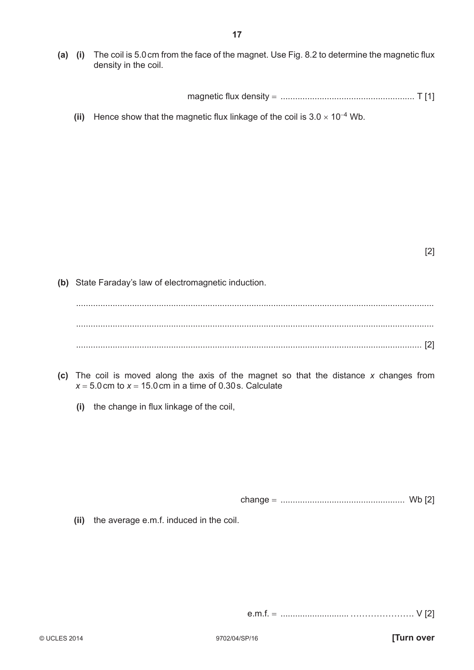**(a)** (i) The coil is 5.0 cm from the face of the magnet. Use Fig. 8.2 to determine the magnetic flux density in the coil.

magnetic fl ux density = ....................................................... T [1]

**(ii)** Hence show that the magnetic flux linkage of the coil is  $3.0 \times 10^{-4}$  Wb.

[2]

 **(b)** State Faraday's law of electromagnetic induction.

 ................................................................................................................................................... ................................................................................................................................................... .............................................................................................................................................. [2]

- **(c)** The coil is moved along the axis of the magnet so that the distance *x* changes from  $x = 5.0$  cm to  $x = 15.0$  cm in a time of 0.30 s. Calculate
	- **(i)** the change in flux linkage of the coil,

change = ................................................... Wb [2]

 **(ii)** the average e.m.f. induced in the coil.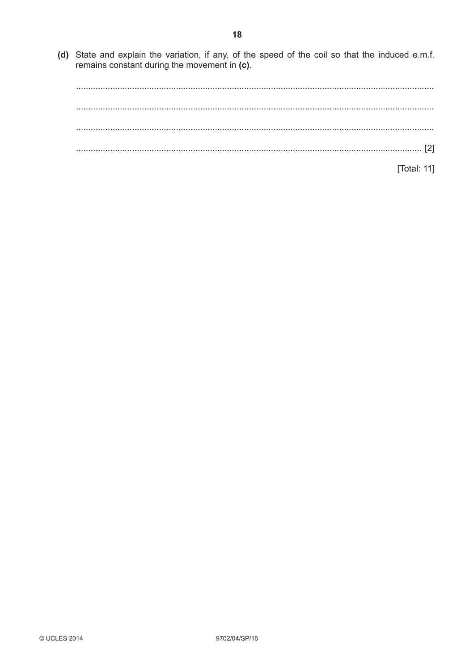(d) State and explain the variation, if any, of the speed of the coil so that the induced e.m.f. remains constant during the movement in  $(c)$ .

| $[2] \centering \label{eq:3}$ |  |
|-------------------------------|--|
|                               |  |
| [Total: 11]                   |  |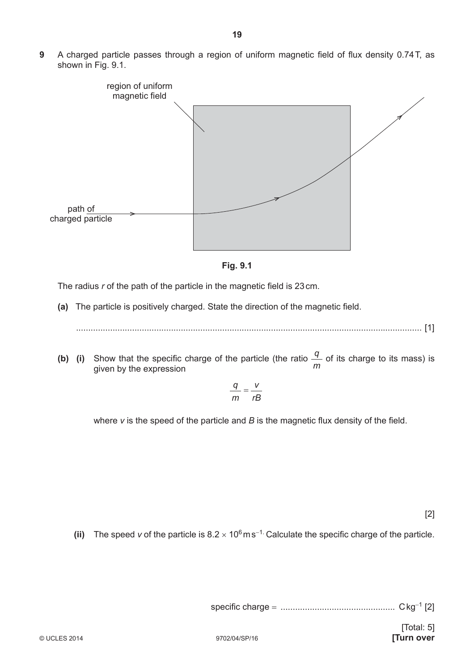**9** A charged particle passes through a region of uniform magnetic field of flux density 0.74 T, as shown in Fig. 9.1.





The radius *r* of the path of the particle in the magnetic field is 23 cm.

(a) The particle is positively charged. State the direction of the magnetic field.

.............................................................................................................................................. [1]

**(b)** (i) Show that the specific charge of the particle (the ratio  $\frac{q}{q}$ *m* of its charge to its mass) is given by the expression

$$
\frac{q}{m} = \frac{V}{rB}
$$

where  $v$  is the speed of the particle and  $B$  is the magnetic flux density of the field.

[2]

**(ii)** The speed *v* of the particle is  $8.2 \times 10^6$  m s<sup>−1.</sup> Calculate the specific charge of the particle.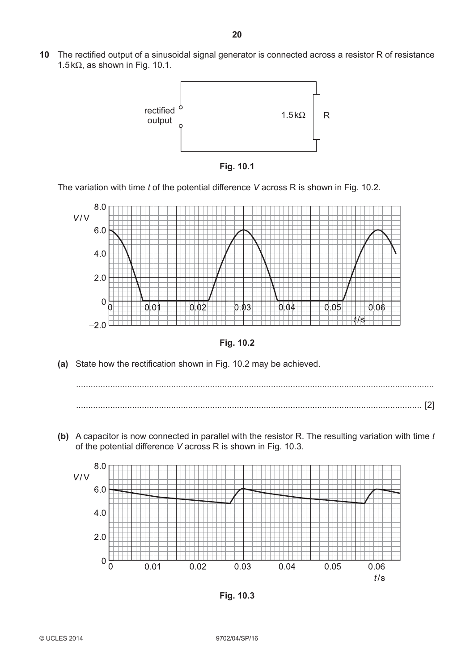**10** The rectified output of a sinusoidal signal generator is connected across a resistor R of resistance 1.5 kΩ, as shown in Fig. 10.1.





The variation with time *t* of the potential difference *V* across R is shown in Fig. 10.2.





(a) State how the rectification shown in Fig. 10.2 may be achieved.



 **(b)** A capacitor is now connected in parallel with the resistor R. The resulting variation with time *t* of the potential difference *V* across R is shown in Fig. 10.3.



**Fig. 10.3**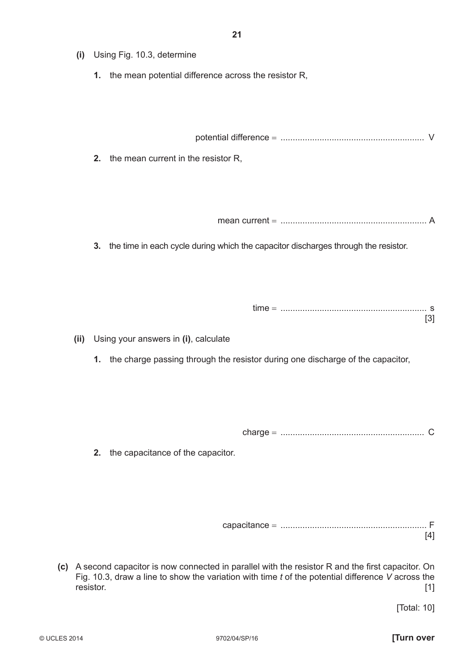**1.** the mean potential difference across the resistor R,

potential difference = ........................................................... V

 **2.** the mean current in the resistor R,

mean current = ............................................................ A

 **3.** the time in each cycle during which the capacitor discharges through the resistor.

- **(ii)** Using your answers in **(i)**, calculate
	- **1.** the charge passing through the resistor during one discharge of the capacitor,

charge = ........................................................... C

 **2.** the capacitance of the capacitor.

 capacitance = ............................................................ F [4]

**(c)** A second capacitor is now connected in parallel with the resistor R and the first capacitor. On Fig. 10.3, draw a line to show the variation with time *t* of the potential difference *V* across the resistor. [1]

[Total: 10]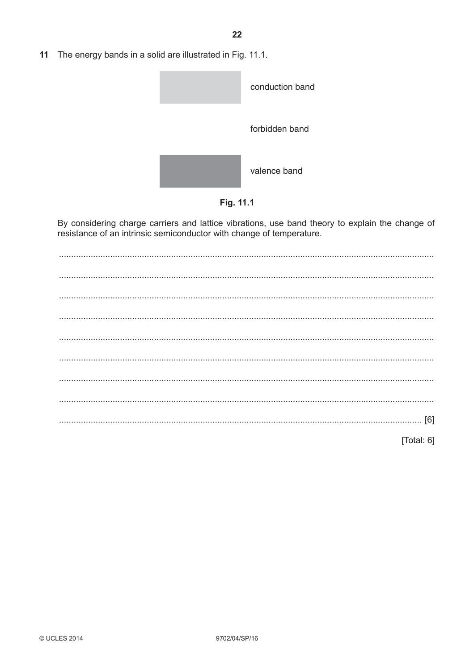$11$ The energy bands in a solid are illustrated in Fig. 11.1.





By considering charge carriers and lattice vibrations, use band theory to explain the change of resistance of an intrinsic semiconductor with change of temperature.

[Total: 6]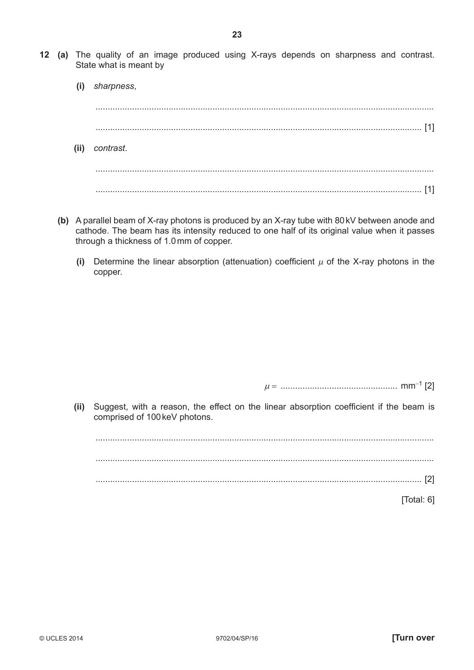- **(i)** *sharpness*, ........................................................................................................................................... ...................................................................................................................................... [1]  **(ii)** *contrast*. ........................................................................................................................................... ...................................................................................................................................... [1]
- **(b)** A parallel beam of X-ray photons is produced by an X-ray tube with 80 kV between anode and cathode. The beam has its intensity reduced to one half of its original value when it passes through a thickness of 1.0 mm of copper.
	- **(i)** Determine the linear absorption (attenuation) coefficient  $\mu$  of the X-ray photons in the copper.

<sup>µ</sup> = ................................................ mm<sup>−</sup>1 [2]

(ii) Suggest, with a reason, the effect on the linear absorption coefficient if the beam is comprised of 100 keV photons.

...........................................................................................................................................

...........................................................................................................................................

...................................................................................................................................... [2]

[Total: 6]